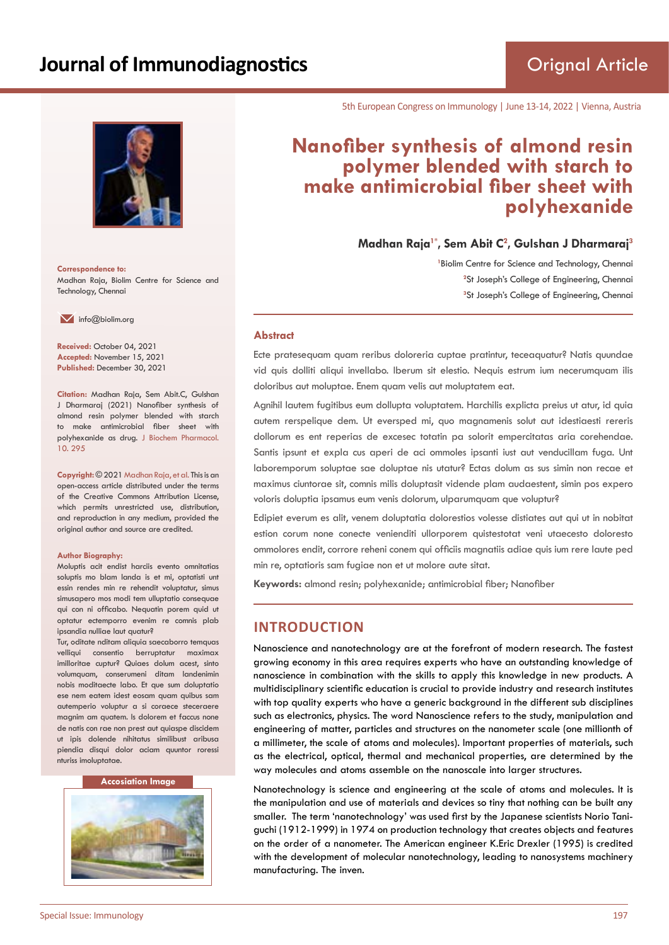

**Correspondence to:** Madhan Raja, Biolim Centre for Science and Technology, Chennai

 $\blacksquare$  info@biolim.org

**Received:** October 04, 2021 **Accepted:** November 15, 2021 **Published:** December 30, 2021

**Citation:** Madhan Raja, Sem Abit.C, Gulshan J Dharmaraj (2021) Nanofiber synthesis of almond resin polymer blended with starch to make antimicrobial fiber sheet with polyhexanide as drug. J Biochem Pharmacol. 10. 295

**Copyright:** © 2021 Madhan Raja, et al. This is an open-access article distributed under the terms of the Creative Commons Attribution License, which permits unrestricted use, distribution, and reproduction in any medium, provided the original author and source are credited.

#### **Author Biography:**

Moluptis acit endist harciis evento omnitatias soluptis mo blam landa is et mi, optatisti unt essin rendes min re rehendit voluptatur, simus simusapero mos modi tem ulluptatio consequae qui con ni officabo. Nequatin porem quid ut optatur ectemporro evenim re comnis plab ipsandia nulliae laut quatur?

Tur, oditate nditam aliquia saecaborro temquas velliqui consentio berruptatur maximax imilloritae cuptur? Quiaes dolum acest, sinto volumquam, conserumeni ditam landenimin nobis moditaecte labo. Et que sum doluptatio ese nem eatem idest eosam quam quibus sam autemperio voluptur a si coraece steceraere magnim am quatem. Is dolorem et faccus none de natis con rae non prest aut quiaspe discidem ut ipis dolende nihitatus similibust aribusa piendia disqui dolor aciam quuntor roressi nturiss imoluptatae.

#### **Accosiation Image**



5th European Congress on Immunology | June 13-14, 2022 | Vienna, Austria

# **Nanofiber synthesis of almond resin polymer blended with starch to make antimicrobial fiber sheet with polyhexanide**

**Madhan Raja1\*, Sem Abit C<sup>2</sup> , Gulshan J Dharmaraj<sup>3</sup>**

<sup>1</sup> Biolim Centre for Science and Technology, Chennai <sup>2</sup>St Joseph's College of Engineering, Chennai **3** St Joseph's College of Engineering, Chennai

#### **Abstract**

Ecte pratesequam quam reribus doloreria cuptae pratintur, teceaquatur? Natis quundae vid quis dolliti aliqui invellabo. Iberum sit elestio. Nequis estrum ium necerumquam ilis doloribus aut moluptae. Enem quam velis aut moluptatem eat.

Agnihil lautem fugitibus eum dollupta voluptatem. Harchilis explicta preius ut atur, id quia autem rerspelique dem. Ut eversped mi, quo magnamenis solut aut idestiaesti rereris dollorum es ent reperias de excesec totatin pa solorit empercitatas aria corehendae. Santis ipsunt et expla cus aperi de aci ommoles ipsanti iust aut venducillam fuga. Unt laboremporum soluptae sae doluptae nis utatur? Ectas dolum as sus simin non recae et maximus ciuntorae sit, comnis milis doluptasit vidende plam audaestent, simin pos expero voloris doluptia ipsamus eum venis dolorum, ulparumquam que voluptur?

Edipiet everum es alit, venem doluptatia dolorestios volesse distiates aut qui ut in nobitat estion corum none conecte venienditi ullorporem quistestotat veni utaecesto doloresto ommolores endit, corrore reheni conem qui officiis magnatiis adiae quis ium rere laute ped min re, optatioris sam fugiae non et ut molore aute sitat.

**Keywords:** almond resin; polyhexanide; antimicrobial fiber; Nanofiber

# **INTRODUCTION**

Nanoscience and nanotechnology are at the forefront of modern research. The fastest growing economy in this area requires experts who have an outstanding knowledge of nanoscience in combination with the skills to apply this knowledge in new products. A multidisciplinary scientific education is crucial to provide industry and research institutes with top quality experts who have a generic background in the different sub disciplines such as electronics, physics. The word Nanoscience refers to the study, manipulation and engineering of matter, particles and structures on the nanometer scale (one millionth of a millimeter, the scale of atoms and molecules). Important properties of materials, such as the electrical, optical, thermal and mechanical properties, are determined by the way molecules and atoms assemble on the nanoscale into larger structures.

Nanotechnology is science and engineering at the scale of atoms and molecules. It is the manipulation and use of materials and devices so tiny that nothing can be built any smaller. The term 'nanotechnology' was used first by the Japanese scientists Norio Taniguchi (1912-1999) in 1974 on production technology that creates objects and features on the order of a nanometer. The American engineer K.Eric Drexler (1995) is credited with the development of molecular nanotechnology, leading to nanosystems machinery manufacturing. The inven.